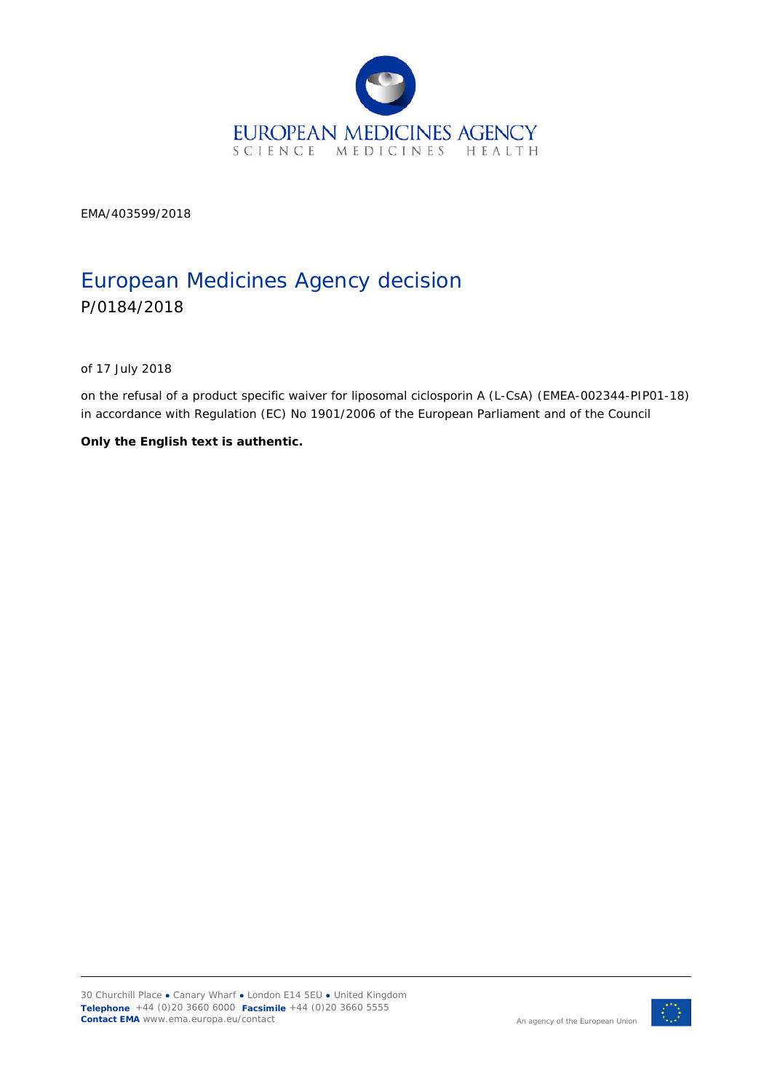

EMA/403599/2018

# European Medicines Agency decision P/0184/2018

of 17 July 2018

on the refusal of a product specific waiver for liposomal ciclosporin A (L-CsA) (EMEA-002344-PIP01-18) in accordance with Regulation (EC) No 1901/2006 of the European Parliament and of the Council

**Only the English text is authentic.**

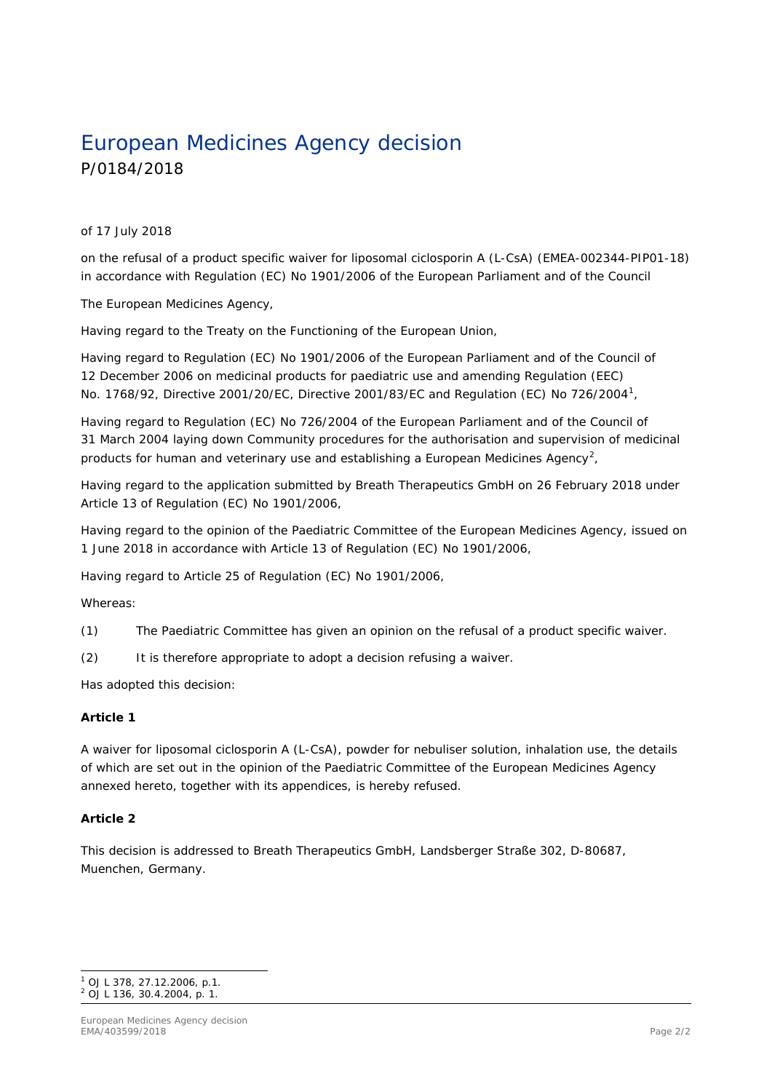# European Medicines Agency decision P/0184/2018

#### of 17 July 2018

on the refusal of a product specific waiver for liposomal ciclosporin A (L-CsA) (EMEA-002344-PIP01-18) in accordance with Regulation (EC) No 1901/2006 of the European Parliament and of the Council

The European Medicines Agency,

Having regard to the Treaty on the Functioning of the European Union,

Having regard to Regulation (EC) No 1901/2006 of the European Parliament and of the Council of 12 December 2006 on medicinal products for paediatric use and amending Regulation (EEC) No. 1768/92, Directive 2001/20/EC, Directive 2001/83/EC and Regulation (EC) No 726/2004<sup>1</sup> ,

Having regard to Regulation (EC) No 726/2004 of the European Parliament and of the Council of 31 March 2004 laying down Community procedures for the authorisation and supervision of medicinal products for human and veterinary use and establishing a European Medicines Agency<sup>2</sup>,

Having regard to the application submitted by Breath Therapeutics GmbH on 26 February 2018 under Article 13 of Regulation (EC) No 1901/2006,

Having regard to the opinion of the Paediatric Committee of the European Medicines Agency, issued on 1 June 2018 in accordance with Article 13 of Regulation (EC) No 1901/2006,

Having regard to Article 25 of Regulation (EC) No 1901/2006,

Whereas:

(1) The Paediatric Committee has given an opinion on the refusal of a product specific waiver.

(2) It is therefore appropriate to adopt a decision refusing a waiver.

Has adopted this decision:

#### *Article 1*

A waiver for liposomal ciclosporin A (L-CsA), powder for nebuliser solution, inhalation use, the details of which are set out in the opinion of the Paediatric Committee of the European Medicines Agency annexed hereto, together with its appendices, is hereby refused.

#### *Article 2*

This decision is addressed to Breath Therapeutics GmbH, Landsberger Straße 302, D-80687, Muenchen, Germany.

ł <sup>1</sup> OJ L 378, 27.12.2006, p.1.

<sup>2</sup> OJ L 136, 30.4.2004, p. 1.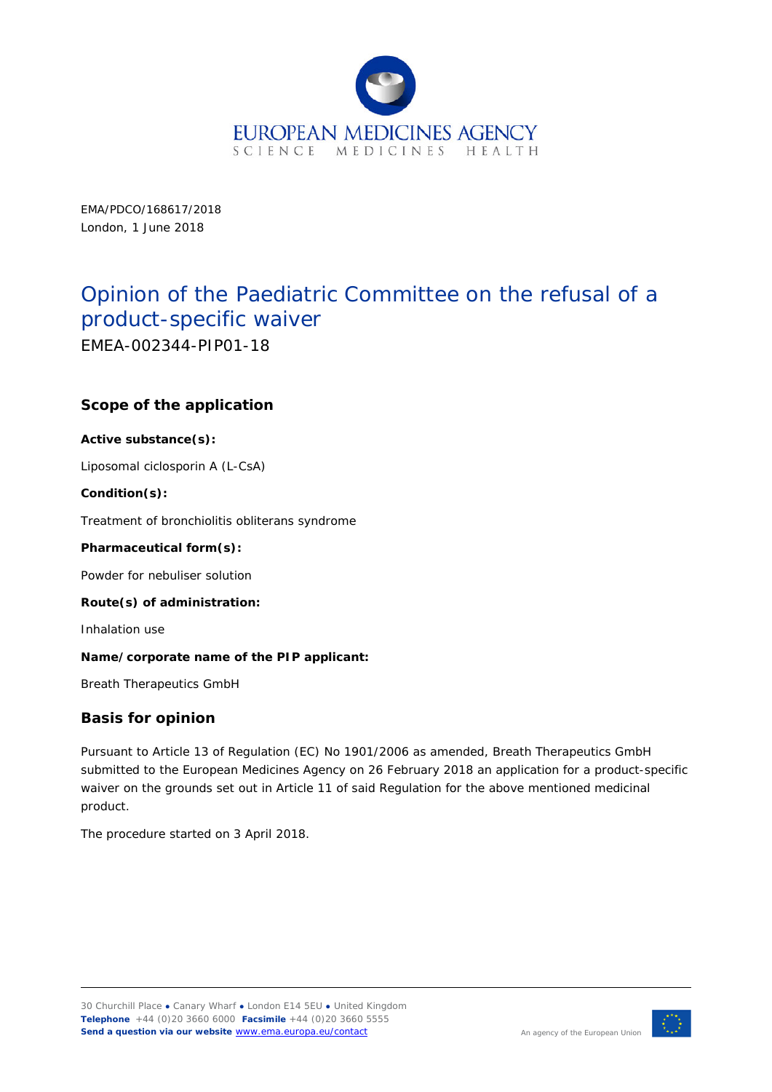

EMA/PDCO/168617/2018 London, 1 June 2018

# Opinion of the Paediatric Committee on the refusal of a product-specific waiver

EMEA-002344-PIP01-18

## **Scope of the application**

#### **Active substance(s):**

Liposomal ciclosporin A (L-CsA)

#### **Condition(s):**

Treatment of bronchiolitis obliterans syndrome

#### **Pharmaceutical form(s):**

Powder for nebuliser solution

#### **Route(s) of administration:**

Inhalation use

#### **Name/corporate name of the PIP applicant:**

Breath Therapeutics GmbH

#### **Basis for opinion**

Pursuant to Article 13 of Regulation (EC) No 1901/2006 as amended, Breath Therapeutics GmbH submitted to the European Medicines Agency on 26 February 2018 an application for a product-specific waiver on the grounds set out in Article 11 of said Regulation for the above mentioned medicinal product.

The procedure started on 3 April 2018.

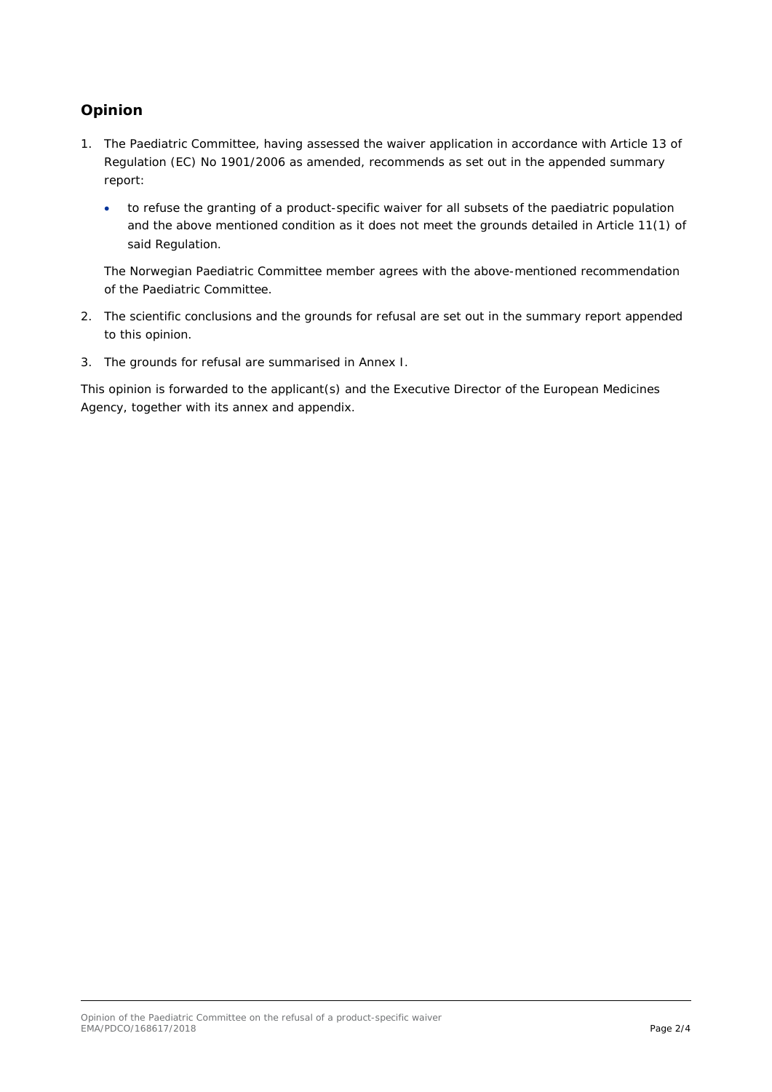## **Opinion**

- 1. The Paediatric Committee, having assessed the waiver application in accordance with Article 13 of Regulation (EC) No 1901/2006 as amended, recommends as set out in the appended summary report:
	- to refuse the granting of a product-specific waiver for all subsets of the paediatric population and the above mentioned condition as it does not meet the grounds detailed in Article 11(1) of said Regulation.

The Norwegian Paediatric Committee member agrees with the above-mentioned recommendation of the Paediatric Committee.

- 2. The scientific conclusions and the grounds for refusal are set out in the summary report appended to this opinion.
- 3. The grounds for refusal are summarised in Annex I.

This opinion is forwarded to the applicant(s) and the Executive Director of the European Medicines Agency, together with its annex and appendix.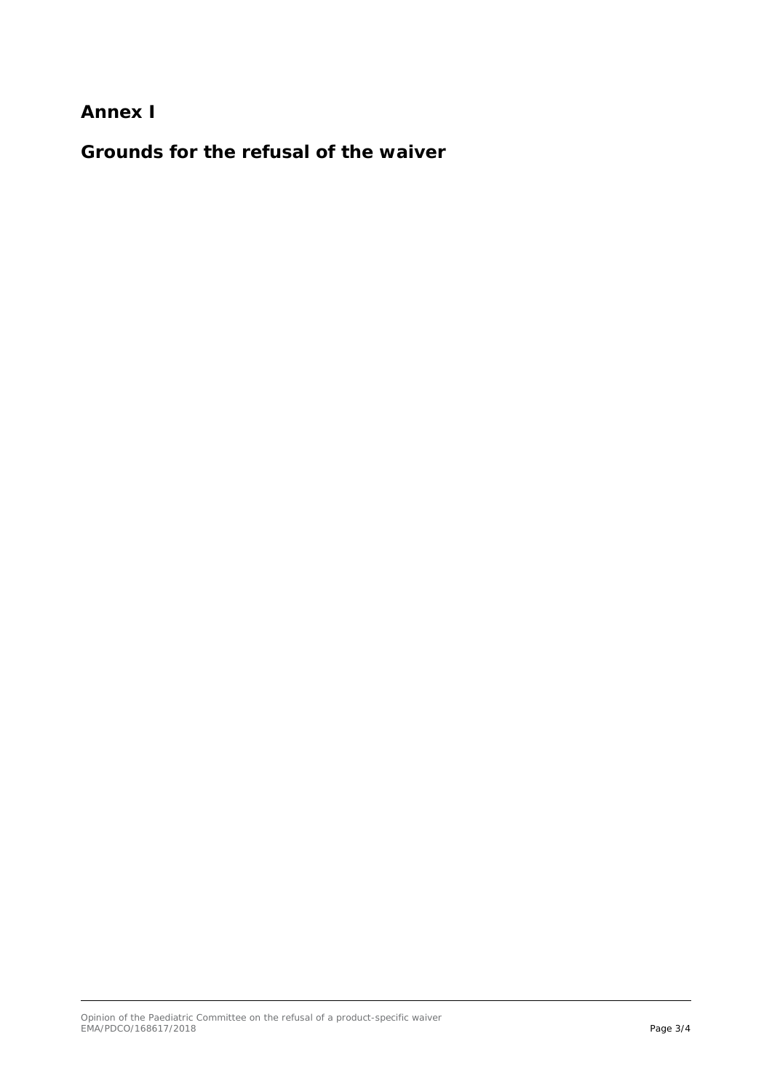**Annex I**

**Grounds for the refusal of the waiver**